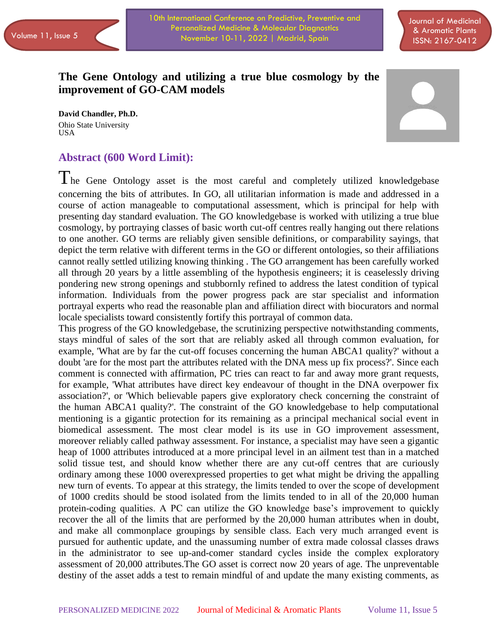10th International Conference on Predictive, Preventive and Personalized Medicine & Molecular Diagnostics Volume 11, Issue 5 (November 10-11, 2022 | Madrid, Spain Collection Communications of the USSN: 2167-0412

# **The Gene Ontology and utilizing a true blue cosmology by the improvement of GO-CAM models**

**David Chandler, Ph.D.** Ohio State University USA

# **Abstract (600 Word Limit):**



The Gene Ontology asset is the most careful and completely utilized knowledgebase concerning the bits of attributes. In GO, all utilitarian information is made and addressed in a course of action manageable to computational assessment, which is principal for help with presenting day standard evaluation. The GO knowledgebase is worked with utilizing a true blue cosmology, by portraying classes of basic worth cut-off centres really hanging out there relations to one another. GO terms are reliably given sensible definitions, or comparability sayings, that depict the term relative with different terms in the GO or different ontologies, so their affiliations cannot really settled utilizing knowing thinking . The GO arrangement has been carefully worked all through 20 years by a little assembling of the hypothesis engineers; it is ceaselessly driving pondering new strong openings and stubbornly refined to address the latest condition of typical information. Individuals from the power progress pack are star specialist and information portrayal experts who read the reasonable plan and affiliation direct with biocurators and normal locale specialists toward consistently fortify this portrayal of common data.

This progress of the GO knowledgebase, the scrutinizing perspective notwithstanding comments, stays mindful of sales of the sort that are reliably asked all through common evaluation, for example, 'What are by far the cut-off focuses concerning the human ABCA1 quality?' without a doubt 'are for the most part the attributes related with the DNA mess up fix process?'. Since each comment is connected with affirmation, PC tries can react to far and away more grant requests, for example, 'What attributes have direct key endeavour of thought in the DNA overpower fix association?', or 'Which believable papers give exploratory check concerning the constraint of the human ABCA1 quality?'. The constraint of the GO knowledgebase to help computational mentioning is a gigantic protection for its remaining as a principal mechanical social event in biomedical assessment. The most clear model is its use in GO improvement assessment, moreover reliably called pathway assessment. For instance, a specialist may have seen a gigantic heap of 1000 attributes introduced at a more principal level in an ailment test than in a matched solid tissue test, and should know whether there are any cut-off centres that are curiously ordinary among these 1000 overexpressed properties to get what might be driving the appalling new turn of events. To appear at this strategy, the limits tended to over the scope of development of 1000 credits should be stood isolated from the limits tended to in all of the 20,000 human protein-coding qualities. A PC can utilize the GO knowledge base's improvement to quickly recover the all of the limits that are performed by the 20,000 human attributes when in doubt, and make all commonplace groupings by sensible class. Each very much arranged event is pursued for authentic update, and the unassuming number of extra made colossal classes draws in the administrator to see up-and-comer standard cycles inside the complex exploratory assessment of 20,000 attributes.The GO asset is correct now 20 years of age. The unpreventable destiny of the asset adds a test to remain mindful of and update the many existing comments, as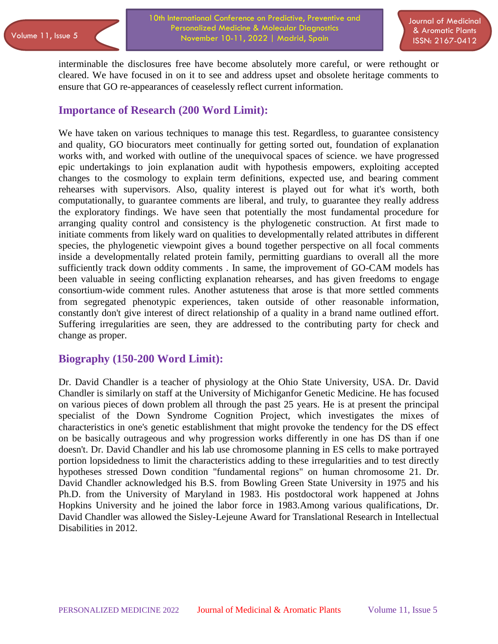10th International Conference on Predictive, Preventive and Personalized Medicine & Molecular Diagnostics Volume 11, Issue 5 (November 10-11, 2022 | Madrid, Spain Collection Communications of the USSN: 2167-0412

interminable the disclosures free have become absolutely more careful, or were rethought or cleared. We have focused in on it to see and address upset and obsolete heritage comments to ensure that GO re-appearances of ceaselessly reflect current information.

### **Importance of Research (200 Word Limit):**

We have taken on various techniques to manage this test. Regardless, to guarantee consistency and quality, GO biocurators meet continually for getting sorted out, foundation of explanation works with, and worked with outline of the unequivocal spaces of science. we have progressed epic undertakings to join explanation audit with hypothesis empowers, exploiting accepted changes to the cosmology to explain term definitions, expected use, and bearing comment rehearses with supervisors. Also, quality interest is played out for what it's worth, both computationally, to guarantee comments are liberal, and truly, to guarantee they really address the exploratory findings. We have seen that potentially the most fundamental procedure for arranging quality control and consistency is the phylogenetic construction. At first made to initiate comments from likely ward on qualities to developmentally related attributes in different species, the phylogenetic viewpoint gives a bound together perspective on all focal comments inside a developmentally related protein family, permitting guardians to overall all the more sufficiently track down oddity comments . In same, the improvement of GO-CAM models has been valuable in seeing conflicting explanation rehearses, and has given freedoms to engage consortium-wide comment rules. Another astuteness that arose is that more settled comments from segregated phenotypic experiences, taken outside of other reasonable information, constantly don't give interest of direct relationship of a quality in a brand name outlined effort. Suffering irregularities are seen, they are addressed to the contributing party for check and change as proper.

### **Biography (150-200 Word Limit):**

Dr. David Chandler is a teacher of physiology at the Ohio State University, USA. Dr. David Chandler is similarly on staff at the University of Michiganfor Genetic Medicine. He has focused on various pieces of down problem all through the past 25 years. He is at present the principal specialist of the Down Syndrome Cognition Project, which investigates the mixes of characteristics in one's genetic establishment that might provoke the tendency for the DS effect on be basically outrageous and why progression works differently in one has DS than if one doesn't. Dr. David Chandler and his lab use chromosome planning in ES cells to make portrayed portion lopsidedness to limit the characteristics adding to these irregularities and to test directly hypotheses stressed Down condition "fundamental regions" on human chromosome 21. Dr. David Chandler acknowledged his B.S. from Bowling Green State University in 1975 and his Ph.D. from the University of Maryland in 1983. His postdoctoral work happened at Johns Hopkins University and he joined the labor force in 1983.Among various qualifications, Dr. David Chandler was allowed the Sisley-Lejeune Award for Translational Research in Intellectual Disabilities in 2012.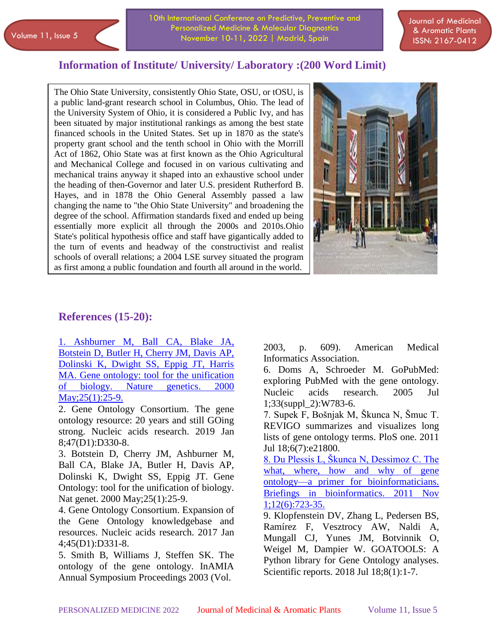10th International Conference on Predictive, Preventive and Personalized Medicine & Molecular Diagnostics Volume 11, Issue 5 (November 10-11, 2022 | Madrid, Spain Collection Communications of the USSN: 2167-0412

Journal of Medicinal & Aromatic Plants

### **Information of Institute/ University/ Laboratory :(200 Word Limit)**

 as first among a public foundation and fourth all around in the world.The Ohio State University, consistently Ohio State, OSU, or tOSU, is a public land-grant research school in Columbus, Ohio. The lead of the University System of Ohio, it is considered a Public Ivy, and has been situated by major institutional rankings as among the best state financed schools in the United States. Set up in 1870 as the state's property grant school and the tenth school in Ohio with the Morrill Act of 1862, Ohio State was at first known as the Ohio Agricultural and Mechanical College and focused in on various cultivating and mechanical trains anyway it shaped into an exhaustive school under the heading of then-Governor and later U.S. president Rutherford B. Hayes, and in 1878 the Ohio General Assembly passed a law changing the name to "the Ohio State University" and broadening the degree of the school. Affirmation standards fixed and ended up being essentially more explicit all through the 2000s and 2010s.Ohio State's political hypothesis office and staff have gigantically added to the turn of events and headway of the constructivist and realist schools of overall relations; a 2004 LSE survey situated the program



#### **References (15-20):**

[1. Ashburner M, Ball CA, Blake JA,](https://www.longdom.org/medicinal-aromatic-plants/archive.html)  [Botstein D, Butler H, Cherry JM, Davis AP,](https://www.longdom.org/medicinal-aromatic-plants/archive.html)  [Dolinski K, Dwight SS, Eppig JT, Harris](https://www.longdom.org/medicinal-aromatic-plants/archive.html)  [MA. Gene ontology: tool for the unification](https://www.longdom.org/medicinal-aromatic-plants/archive.html)  [of biology. Nature](https://www.longdom.org/medicinal-aromatic-plants/archive.html) genetics. 2000 May; 25(1): 25-9.

2. Gene Ontology Consortium. The gene ontology resource: 20 years and still GOing strong. Nucleic acids research. 2019 Jan 8;47(D1):D330-8.

3. Botstein D, Cherry JM, Ashburner M, Ball CA, Blake JA, Butler H, Davis AP, Dolinski K, Dwight SS, Eppig JT. Gene Ontology: tool for the unification of biology. Nat genet. 2000 May;25(1):25-9.

4. Gene Ontology Consortium. Expansion of the Gene Ontology knowledgebase and resources. Nucleic acids research. 2017 Jan 4;45(D1):D331-8.

5. Smith B, Williams J, Steffen SK. The ontology of the gene ontology. InAMIA Annual Symposium Proceedings 2003 (Vol.

2003, p. 609). American Medical Informatics Association.

6. Doms A, Schroeder M. GoPubMed: exploring PubMed with the gene ontology. Nucleic acids research. 2005 Jul 1;33(suppl\_2):W783-6.

7. Supek F, Bošnjak M, Škunca N, Šmuc T. REVIGO summarizes and visualizes long lists of gene ontology terms. PloS one. 2011 Jul 18;6(7):e21800.

[8. Du Plessis L, Škunca N, Dessimoz C. The](https://www.longdom.org/medicinal-aromatic-plants/)  what, where, how and why of gene [ontology—a primer for bioinformaticians.](https://www.longdom.org/medicinal-aromatic-plants/)  [Briefings in bioinformatics. 2011 Nov](https://www.longdom.org/medicinal-aromatic-plants/)  [1;12\(6\):723-35.](https://www.longdom.org/medicinal-aromatic-plants/)

9. Klopfenstein DV, Zhang L, Pedersen BS, Ramírez F, Vesztrocy AW, Naldi A, Mungall CJ, Yunes JM, Botvinnik O, Weigel M, Dampier W. GOATOOLS: A Python library for Gene Ontology analyses. Scientific reports. 2018 Jul 18;8(1):1-7.